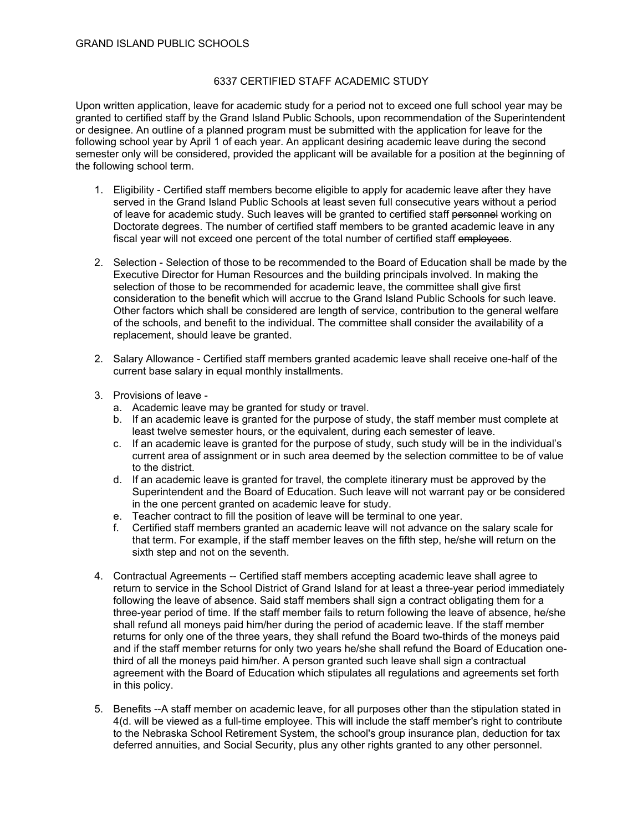## 6337 CERTIFIED STAFF ACADEMIC STUDY

Upon written application, leave for academic study for a period not to exceed one full school year may be granted to certified staff by the Grand Island Public Schools, upon recommendation of the Superintendent or designee. An outline of a planned program must be submitted with the application for leave for the following school year by April 1 of each year. An applicant desiring academic leave during the second semester only will be considered, provided the applicant will be available for a position at the beginning of the following school term.

- 1. Eligibility Certified staff members become eligible to apply for academic leave after they have served in the Grand Island Public Schools at least seven full consecutive years without a period of leave for academic study. Such leaves will be granted to certified staff personnel working on Doctorate degrees. The number of certified staff members to be granted academic leave in any fiscal year will not exceed one percent of the total number of certified staff employees.
- 2. Selection Selection of those to be recommended to the Board of Education shall be made by the Executive Director for Human Resources and the building principals involved. In making the selection of those to be recommended for academic leave, the committee shall give first consideration to the benefit which will accrue to the Grand Island Public Schools for such leave. Other factors which shall be considered are length of service, contribution to the general welfare of the schools, and benefit to the individual. The committee shall consider the availability of a replacement, should leave be granted.
- 2. Salary Allowance Certified staff members granted academic leave shall receive one-half of the current base salary in equal monthly installments.
- 3. Provisions of leave
	- a. Academic leave may be granted for study or travel.
	- b. If an academic leave is granted for the purpose of study, the staff member must complete at least twelve semester hours, or the equivalent, during each semester of leave.
	- c. If an academic leave is granted for the purpose of study, such study will be in the individual's current area of assignment or in such area deemed by the selection committee to be of value to the district.
	- d. If an academic leave is granted for travel, the complete itinerary must be approved by the Superintendent and the Board of Education. Such leave will not warrant pay or be considered in the one percent granted on academic leave for study.
	- e. Teacher contract to fill the position of leave will be terminal to one year.
	- f. Certified staff members granted an academic leave will not advance on the salary scale for that term. For example, if the staff member leaves on the fifth step, he/she will return on the sixth step and not on the seventh.
- 4. Contractual Agreements -- Certified staff members accepting academic leave shall agree to return to service in the School District of Grand Island for at least a three-year period immediately following the leave of absence. Said staff members shall sign a contract obligating them for a three-year period of time. If the staff member fails to return following the leave of absence, he/she shall refund all moneys paid him/her during the period of academic leave. If the staff member returns for only one of the three years, they shall refund the Board two-thirds of the moneys paid and if the staff member returns for only two years he/she shall refund the Board of Education onethird of all the moneys paid him/her. A person granted such leave shall sign a contractual agreement with the Board of Education which stipulates all regulations and agreements set forth in this policy.
- 5. Benefits --A staff member on academic leave, for all purposes other than the stipulation stated in 4(d. will be viewed as a full-time employee. This will include the staff member's right to contribute to the Nebraska School Retirement System, the school's group insurance plan, deduction for tax deferred annuities, and Social Security, plus any other rights granted to any other personnel.